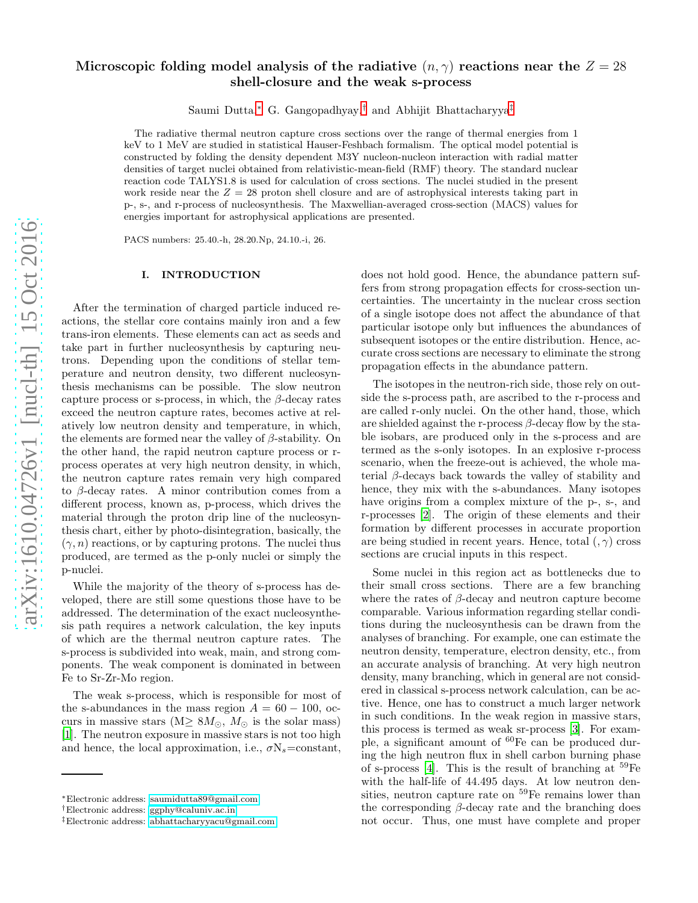# Microscopic folding model analysis of the radiative  $(n, \gamma)$  reactions near the  $Z = 28$ shell-closure and the weak s-process

Saumi Dutta,[∗](#page-0-0) G. Gangopadhyay,[†](#page-0-1) and Abhijit Bhattacharyya[‡](#page-0-2)

The radiative thermal neutron capture cross sections over the range of thermal energies from 1 keV to 1 MeV are studied in statistical Hauser-Feshbach formalism. The optical model potential is constructed by folding the density dependent M3Y nucleon-nucleon interaction with radial matter densities of target nuclei obtained from relativistic-mean-field (RMF) theory. The standard nuclear reaction code TALYS1.8 is used for calculation of cross sections. The nuclei studied in the present work reside near the  $Z = 28$  proton shell closure and are of astrophysical interests taking part in p-, s-, and r-process of nucleosynthesis. The Maxwellian-averaged cross-section (MACS) values for energies important for astrophysical applications are presented.

PACS numbers: 25.40.-h, 28.20.Np, 24.10.-i, 26.

## I. INTRODUCTION

After the termination of charged particle induced reactions, the stellar core contains mainly iron and a few trans-iron elements. These elements can act as seeds and take part in further nucleosynthesis by capturing neutrons. Depending upon the conditions of stellar temperature and neutron density, two different nucleosynthesis mechanisms can be possible. The slow neutron capture process or s-process, in which, the  $\beta$ -decay rates exceed the neutron capture rates, becomes active at relatively low neutron density and temperature, in which, the elements are formed near the valley of  $\beta$ -stability. On the other hand, the rapid neutron capture process or rprocess operates at very high neutron density, in which, the neutron capture rates remain very high compared to β-decay rates. A minor contribution comes from a different process, known as, p-process, which drives the material through the proton drip line of the nucleosynthesis chart, either by photo-disintegration, basically, the  $(\gamma, n)$  reactions, or by capturing protons. The nuclei thus produced, are termed as the p-only nuclei or simply the p-nuclei.

While the majority of the theory of s-process has developed, there are still some questions those have to be addressed. The determination of the exact nucleosynthesis path requires a network calculation, the key inputs of which are the thermal neutron capture rates. The s-process is subdivided into weak, main, and strong components. The weak component is dominated in between Fe to Sr-Zr-Mo region.

The weak s-process, which is responsible for most of the s-abundances in the mass region  $A = 60 - 100$ , occurs in massive stars (M≥  $8M_{\odot}$ ,  $M_{\odot}$  is the solar mass) [\[1\]](#page-9-0). The neutron exposure in massive stars is not too high and hence, the local approximation, i.e.,  $\sigma N_s = constant$ ,

does not hold good. Hence, the abundance pattern suffers from strong propagation effects for cross-section uncertainties. The uncertainty in the nuclear cross section of a single isotope does not affect the abundance of that particular isotope only but influences the abundances of subsequent isotopes or the entire distribution. Hence, accurate cross sections are necessary to eliminate the strong propagation effects in the abundance pattern.

The isotopes in the neutron-rich side, those rely on outside the s-process path, are ascribed to the r-process and are called r-only nuclei. On the other hand, those, which are shielded against the r-process  $\beta$ -decay flow by the stable isobars, are produced only in the s-process and are termed as the s-only isotopes. In an explosive r-process scenario, when the freeze-out is achieved, the whole material β-decays back towards the valley of stability and hence, they mix with the s-abundances. Many isotopes have origins from a complex mixture of the p-, s-, and r-processes [\[2](#page-9-1)]. The origin of these elements and their formation by different processes in accurate proportion are being studied in recent years. Hence, total  $(0, \gamma)$  cross sections are crucial inputs in this respect.

Some nuclei in this region act as bottlenecks due to their small cross sections. There are a few branching where the rates of  $\beta$ -decay and neutron capture become comparable. Various information regarding stellar conditions during the nucleosynthesis can be drawn from the analyses of branching. For example, one can estimate the neutron density, temperature, electron density, etc., from an accurate analysis of branching. At very high neutron density, many branching, which in general are not considered in classical s-process network calculation, can be active. Hence, one has to construct a much larger network in such conditions. In the weak region in massive stars, this process is termed as weak sr-process [\[3](#page-9-2)]. For example, a significant amount of  ${}^{60}Fe$  can be produced during the high neutron flux in shell carbon burning phase of s-process [\[4](#page-9-3)]. This is the result of branching at  $^{59}Fe$ with the half-life of 44.495 days. At low neutron densities, neutron capture rate on  $^{59}$ Fe remains lower than the corresponding  $\beta$ -decay rate and the branching does not occur. Thus, one must have complete and proper

<span id="page-0-0"></span><sup>∗</sup>Electronic address: [saumidutta89@gmail.com](mailto:saumidutta89@gmail.com)

<span id="page-0-1"></span><sup>†</sup>Electronic address: [ggphy@caluniv.ac.in](mailto:ggphy@caluniv.ac.in)

<span id="page-0-2"></span><sup>‡</sup>Electronic address: [abhattacharyyacu@gmail.com](mailto:abhattacharyyacu@gmail.com)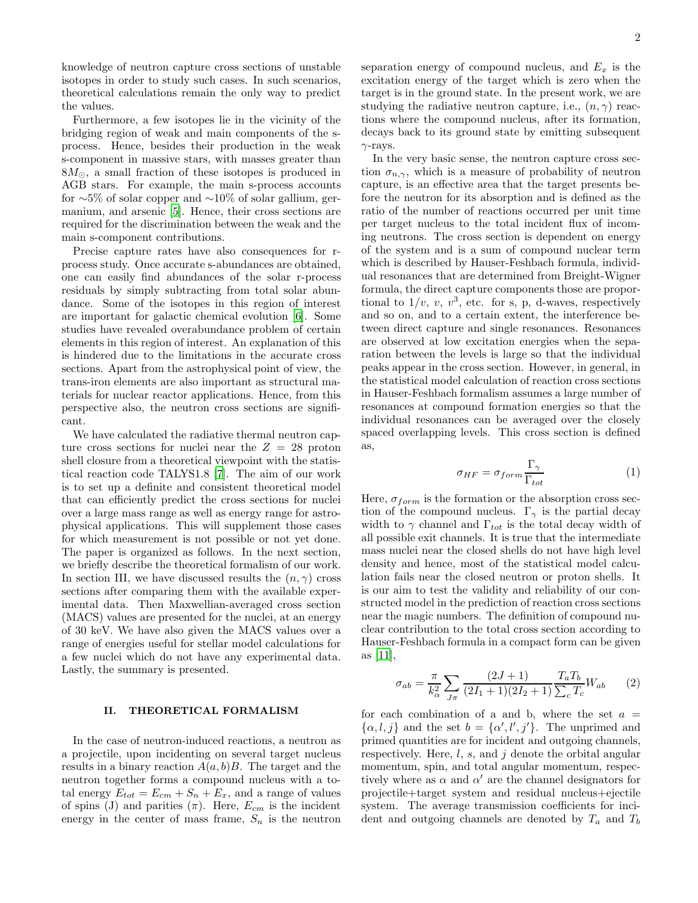knowledge of neutron capture cross sections of unstable isotopes in order to study such cases. In such scenarios, theoretical calculations remain the only way to predict the values.

Furthermore, a few isotopes lie in the vicinity of the bridging region of weak and main components of the sprocess. Hence, besides their production in the weak s-component in massive stars, with masses greater than  $8M_{\odot}$ , a small fraction of these isotopes is produced in AGB stars. For example, the main s-process accounts for ∼5% of solar copper and ∼10% of solar gallium, germanium, and arsenic [\[5\]](#page-9-4). Hence, their cross sections are required for the discrimination between the weak and the main s-component contributions.

Precise capture rates have also consequences for rprocess study. Once accurate s-abundances are obtained, one can easily find abundances of the solar r-process residuals by simply subtracting from total solar abundance. Some of the isotopes in this region of interest are important for galactic chemical evolution [\[6](#page-9-5)]. Some studies have revealed overabundance problem of certain elements in this region of interest. An explanation of this is hindered due to the limitations in the accurate cross sections. Apart from the astrophysical point of view, the trans-iron elements are also important as structural materials for nuclear reactor applications. Hence, from this perspective also, the neutron cross sections are significant.

We have calculated the radiative thermal neutron capture cross sections for nuclei near the  $Z = 28$  proton shell closure from a theoretical viewpoint with the statistical reaction code TALYS1.8 [\[7](#page-9-6)]. The aim of our work is to set up a definite and consistent theoretical model that can efficiently predict the cross sections for nuclei over a large mass range as well as energy range for astrophysical applications. This will supplement those cases for which measurement is not possible or not yet done. The paper is organized as follows. In the next section, we briefly describe the theoretical formalism of our work. In section III, we have discussed results the  $(n, \gamma)$  cross sections after comparing them with the available experimental data. Then Maxwellian-averaged cross section (MACS) values are presented for the nuclei, at an energy of 30 keV. We have also given the MACS values over a range of energies useful for stellar model calculations for a few nuclei which do not have any experimental data. Lastly, the summary is presented.

# II. THEORETICAL FORMALISM

In the case of neutron-induced reactions, a neutron as a projectile, upon incidenting on several target nucleus results in a binary reaction  $A(a, b)B$ . The target and the neutron together forms a compound nucleus with a total energy  $E_{tot} = E_{cm} + S_n + E_x$ , and a range of values of spins (J) and parities  $(\pi)$ . Here,  $E_{cm}$  is the incident energy in the center of mass frame,  $S_n$  is the neutron

separation energy of compound nucleus, and  $E_x$  is the excitation energy of the target which is zero when the target is in the ground state. In the present work, we are studying the radiative neutron capture, i.e.,  $(n, \gamma)$  reactions where the compound nucleus, after its formation, decays back to its ground state by emitting subsequent  $\gamma$ -rays.

In the very basic sense, the neutron capture cross section  $\sigma_{n,\gamma}$ , which is a measure of probability of neutron capture, is an effective area that the target presents before the neutron for its absorption and is defined as the ratio of the number of reactions occurred per unit time per target nucleus to the total incident flux of incoming neutrons. The cross section is dependent on energy of the system and is a sum of compound nuclear term which is described by Hauser-Feshbach formula, individual resonances that are determined from Breight-Wigner formula, the direct capture components those are proportional to  $1/v, v, v^3$ , etc. for s, p, d-waves, respectively and so on, and to a certain extent, the interference between direct capture and single resonances. Resonances are observed at low excitation energies when the separation between the levels is large so that the individual peaks appear in the cross section. However, in general, in the statistical model calculation of reaction cross sections in Hauser-Feshbach formalism assumes a large number of resonances at compound formation energies so that the individual resonances can be averaged over the closely spaced overlapping levels. This cross section is defined as,

$$
\sigma_{HF} = \sigma_{form} \frac{\Gamma_{\gamma}}{\Gamma_{tot}} \tag{1}
$$

Here,  $\sigma_{form}$  is the formation or the absorption cross section of the compound nucleus.  $\Gamma_{\gamma}$  is the partial decay width to  $\gamma$  channel and  $\Gamma_{tot}$  is the total decay width of all possible exit channels. It is true that the intermediate mass nuclei near the closed shells do not have high level density and hence, most of the statistical model calculation fails near the closed neutron or proton shells. It is our aim to test the validity and reliability of our constructed model in the prediction of reaction cross sections near the magic numbers. The definition of compound nuclear contribution to the total cross section according to Hauser-Feshbach formula in a compact form can be given as [\[11](#page-9-7)],

$$
\sigma_{ab} = \frac{\pi}{k_{\alpha}^2} \sum_{J\pi} \frac{(2J+1)}{(2I_1+1)(2I_2+1)} \frac{T_a T_b}{\sum_c T_c} W_{ab} \tag{2}
$$

for each combination of a and b, where the set  $a =$  $\{\alpha, l, j\}$  and the set  $b = \{\alpha', l', j'\}$ . The unprimed and primed quantities are for incident and outgoing channels, respectively. Here,  $l, s$ , and  $j$  denote the orbital angular momentum, spin, and total angular momentum, respectively where as  $\alpha$  and  $\alpha'$  are the channel designators for projectile+target system and residual nucleus+ejectile system. The average transmission coefficients for incident and outgoing channels are denoted by  $T_a$  and  $T_b$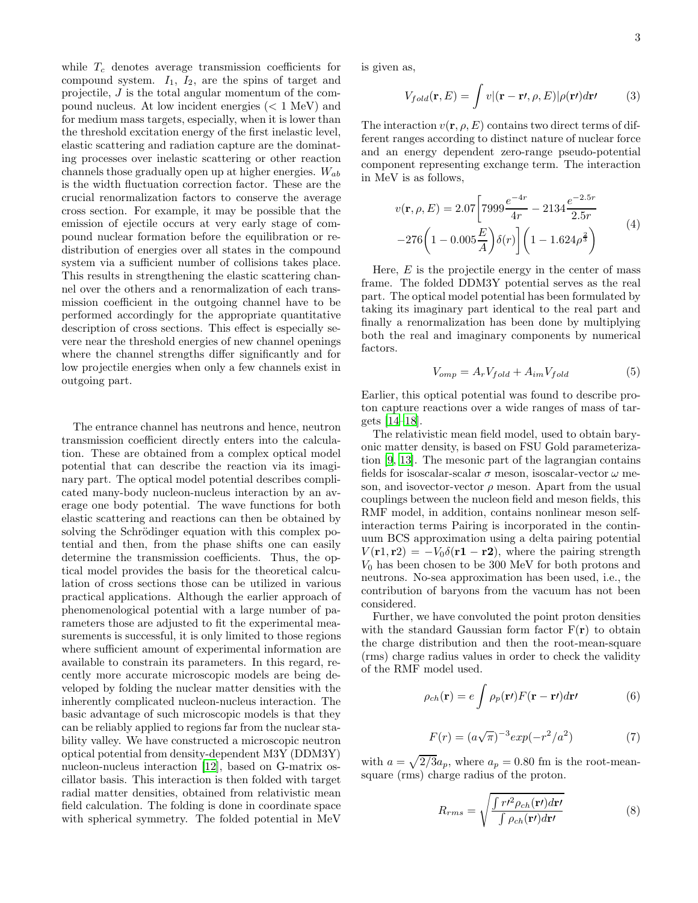while  $T_c$  denotes average transmission coefficients for compound system.  $I_1$ ,  $I_2$ , are the spins of target and projectile, J is the total angular momentum of the compound nucleus. At low incident energies (< 1 MeV) and for medium mass targets, especially, when it is lower than the threshold excitation energy of the first inelastic level, elastic scattering and radiation capture are the dominating processes over inelastic scattering or other reaction channels those gradually open up at higher energies.  $W_{ab}$ is the width fluctuation correction factor. These are the crucial renormalization factors to conserve the average cross section. For example, it may be possible that the emission of ejectile occurs at very early stage of compound nuclear formation before the equilibration or redistribution of energies over all states in the compound system via a sufficient number of collisions takes place. This results in strengthening the elastic scattering channel over the others and a renormalization of each transmission coefficient in the outgoing channel have to be performed accordingly for the appropriate quantitative description of cross sections. This effect is especially severe near the threshold energies of new channel openings where the channel strengths differ significantly and for low projectile energies when only a few channels exist in outgoing part.

The entrance channel has neutrons and hence, neutron transmission coefficient directly enters into the calculation. These are obtained from a complex optical model potential that can describe the reaction via its imaginary part. The optical model potential describes complicated many-body nucleon-nucleus interaction by an average one body potential. The wave functions for both elastic scattering and reactions can then be obtained by solving the Schrödinger equation with this complex potential and then, from the phase shifts one can easily determine the transmission coefficients. Thus, the optical model provides the basis for the theoretical calculation of cross sections those can be utilized in various practical applications. Although the earlier approach of phenomenological potential with a large number of parameters those are adjusted to fit the experimental measurements is successful, it is only limited to those regions where sufficient amount of experimental information are available to constrain its parameters. In this regard, recently more accurate microscopic models are being developed by folding the nuclear matter densities with the inherently complicated nucleon-nucleus interaction. The basic advantage of such microscopic models is that they can be reliably applied to regions far from the nuclear stability valley. We have constructed a microscopic neutron optical potential from density-dependent M3Y (DDM3Y) nucleon-nucleus interaction [\[12\]](#page-9-8), based on G-matrix oscillator basis. This interaction is then folded with target radial matter densities, obtained from relativistic mean field calculation. The folding is done in coordinate space with spherical symmetry. The folded potential in MeV

is given as,

$$
V_{fold}(\mathbf{r}, E) = \int v |(\mathbf{r} - \mathbf{r}t, \rho, E)| \rho(\mathbf{r}t) d\mathbf{r}t
$$
 (3)

The interaction  $v(\mathbf{r}, \rho, E)$  contains two direct terms of different ranges according to distinct nature of nuclear force and an energy dependent zero-range pseudo-potential component representing exchange term. The interaction in MeV is as follows,

$$
v(\mathbf{r}, \rho, E) = 2.07 \left[ 7999 \frac{e^{-4r}}{4r} - 2134 \frac{e^{-2.5r}}{2.5r} -276 \left( 1 - 0.005 \frac{E}{A} \right) \delta(r) \right] \left( 1 - 1.624 \rho^{\frac{2}{3}} \right)
$$
(4)

Here,  $E$  is the projectile energy in the center of mass frame. The folded DDM3Y potential serves as the real part. The optical model potential has been formulated by taking its imaginary part identical to the real part and finally a renormalization has been done by multiplying both the real and imaginary components by numerical factors.

<span id="page-2-0"></span>
$$
V_{omp} = A_r V_{fold} + A_{im} V_{fold} \tag{5}
$$

Earlier, this optical potential was found to describe proton capture reactions over a wide ranges of mass of targets [\[14](#page-9-9)[–18](#page-9-10)].

The relativistic mean field model, used to obtain baryonic matter density, is based on FSU Gold parameterization [\[9,](#page-9-11) [13\]](#page-9-12). The mesonic part of the lagrangian contains fields for isoscalar-scalar  $\sigma$  meson, isoscalar-vector  $\omega$  meson, and isovector-vector  $\rho$  meson. Apart from the usual couplings between the nucleon field and meson fields, this RMF model, in addition, contains nonlinear meson selfinteraction terms Pairing is incorporated in the continuum BCS approximation using a delta pairing potential  $V(\mathbf{r1}, \mathbf{r2}) = -V_0 \delta(\mathbf{r1} - \mathbf{r2})$ , where the pairing strength  $V_0$  has been chosen to be 300 MeV for both protons and neutrons. No-sea approximation has been used, i.e., the contribution of baryons from the vacuum has not been considered.

Further, we have convoluted the point proton densities with the standard Gaussian form factor  $F(r)$  to obtain the charge distribution and then the root-mean-square (rms) charge radius values in order to check the validity of the RMF model used.

$$
\rho_{ch}(\mathbf{r}) = e \int \rho_p(\mathbf{r\prime}) F(\mathbf{r} - \mathbf{r\prime}) d\mathbf{r\prime}
$$
 (6)

$$
F(r) = (a\sqrt{\pi})^{-3} exp(-r^2/a^2)
$$
 (7)

with  $a = \sqrt{2/3}a_p$ , where  $a_p = 0.80$  fm is the root-meansquare (rms) charge radius of the proton.

$$
R_{rms} = \sqrt{\frac{\int r^{\prime 2} \rho_{ch}(\mathbf{r}) dr^{\prime}}{\int \rho_{ch}(\mathbf{r}) dr^{\prime}}}
$$
(8)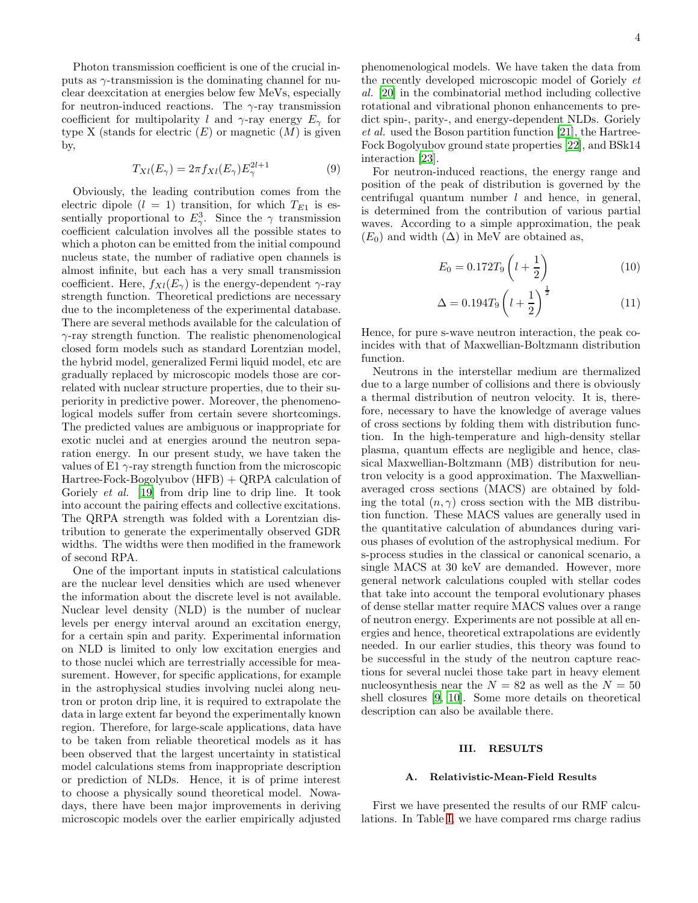Photon transmission coefficient is one of the crucial inputs as  $\gamma$ -transmission is the dominating channel for nuclear deexcitation at energies below few MeVs, especially for neutron-induced reactions. The  $\gamma$ -ray transmission coefficient for multipolarity l and  $\gamma$ -ray energy  $E_{\gamma}$  for type X (stands for electric  $(E)$  or magnetic  $(M)$  is given by,

$$
T_{Xl}(E_{\gamma}) = 2\pi f_{Xl}(E_{\gamma})E_{\gamma}^{2l+1}
$$
\n(9)

Obviously, the leading contribution comes from the electric dipole  $(l = 1)$  transition, for which  $T_{E1}$  is essentially proportional to  $E^3_\gamma$ . Since the  $\gamma$  transmission coefficient calculation involves all the possible states to which a photon can be emitted from the initial compound nucleus state, the number of radiative open channels is almost infinite, but each has a very small transmission coefficient. Here,  $f_{Xl}(E_\gamma)$  is the energy-dependent  $\gamma$ -ray strength function. Theoretical predictions are necessary due to the incompleteness of the experimental database. There are several methods available for the calculation of  $\gamma$ -ray strength function. The realistic phenomenological closed form models such as standard Lorentzian model, the hybrid model, generalized Fermi liquid model, etc are gradually replaced by microscopic models those are correlated with nuclear structure properties, due to their superiority in predictive power. Moreover, the phenomenological models suffer from certain severe shortcomings. The predicted values are ambiguous or inappropriate for exotic nuclei and at energies around the neutron separation energy. In our present study, we have taken the values of E1  $\gamma$ -ray strength function from the microscopic Hartree-Fock-Bogolyubov (HFB) + QRPA calculation of Goriely *et al.* [\[19\]](#page-9-13) from drip line to drip line. It took into account the pairing effects and collective excitations. The QRPA strength was folded with a Lorentzian distribution to generate the experimentally observed GDR widths. The widths were then modified in the framework of second RPA.

One of the important inputs in statistical calculations are the nuclear level densities which are used whenever the information about the discrete level is not available. Nuclear level density (NLD) is the number of nuclear levels per energy interval around an excitation energy, for a certain spin and parity. Experimental information on NLD is limited to only low excitation energies and to those nuclei which are terrestrially accessible for measurement. However, for specific applications, for example in the astrophysical studies involving nuclei along neutron or proton drip line, it is required to extrapolate the data in large extent far beyond the experimentally known region. Therefore, for large-scale applications, data have to be taken from reliable theoretical models as it has been observed that the largest uncertainty in statistical model calculations stems from inappropriate description or prediction of NLDs. Hence, it is of prime interest to choose a physically sound theoretical model. Nowadays, there have been major improvements in deriving microscopic models over the earlier empirically adjusted

phenomenological models. We have taken the data from the recently developed microscopic model of Goriely et al. [\[20\]](#page-9-14) in the combinatorial method including collective rotational and vibrational phonon enhancements to predict spin-, parity-, and energy-dependent NLDs. Goriely et al. used the Boson partition function [\[21](#page-9-15)], the Hartree-Fock Bogolyubov ground state properties [\[22\]](#page-9-16), and BSk14 interaction [\[23\]](#page-9-17).

For neutron-induced reactions, the energy range and position of the peak of distribution is governed by the centrifugal quantum number  $l$  and hence, in general, is determined from the contribution of various partial waves. According to a simple approximation, the peak  $(E_0)$  and width  $(\Delta)$  in MeV are obtained as,

$$
E_0 = 0.172T_9 \left( l + \frac{1}{2} \right) \tag{10}
$$

$$
\Delta = 0.194T_9 \left( l + \frac{1}{2} \right)^{\frac{1}{2}} \tag{11}
$$

Hence, for pure s-wave neutron interaction, the peak coincides with that of Maxwellian-Boltzmann distribution function.

Neutrons in the interstellar medium are thermalized due to a large number of collisions and there is obviously a thermal distribution of neutron velocity. It is, therefore, necessary to have the knowledge of average values of cross sections by folding them with distribution function. In the high-temperature and high-density stellar plasma, quantum effects are negligible and hence, classical Maxwellian-Boltzmann (MB) distribution for neutron velocity is a good approximation. The Maxwellianaveraged cross sections (MACS) are obtained by folding the total  $(n, \gamma)$  cross section with the MB distribution function. These MACS values are generally used in the quantitative calculation of abundances during various phases of evolution of the astrophysical medium. For s-process studies in the classical or canonical scenario, a single MACS at 30 keV are demanded. However, more general network calculations coupled with stellar codes that take into account the temporal evolutionary phases of dense stellar matter require MACS values over a range of neutron energy. Experiments are not possible at all energies and hence, theoretical extrapolations are evidently needed. In our earlier studies, this theory was found to be successful in the study of the neutron capture reactions for several nuclei those take part in heavy element nucleosynthesis near the  $N = 82$  as well as the  $N = 50$ shell closures [\[9,](#page-9-11) [10](#page-9-18)]. Some more details on theoretical description can also be available there.

### III. RESULTS

## A. Relativistic-Mean-Field Results

First we have presented the results of our RMF calculations. In Table [I,](#page-4-0) we have compared rms charge radius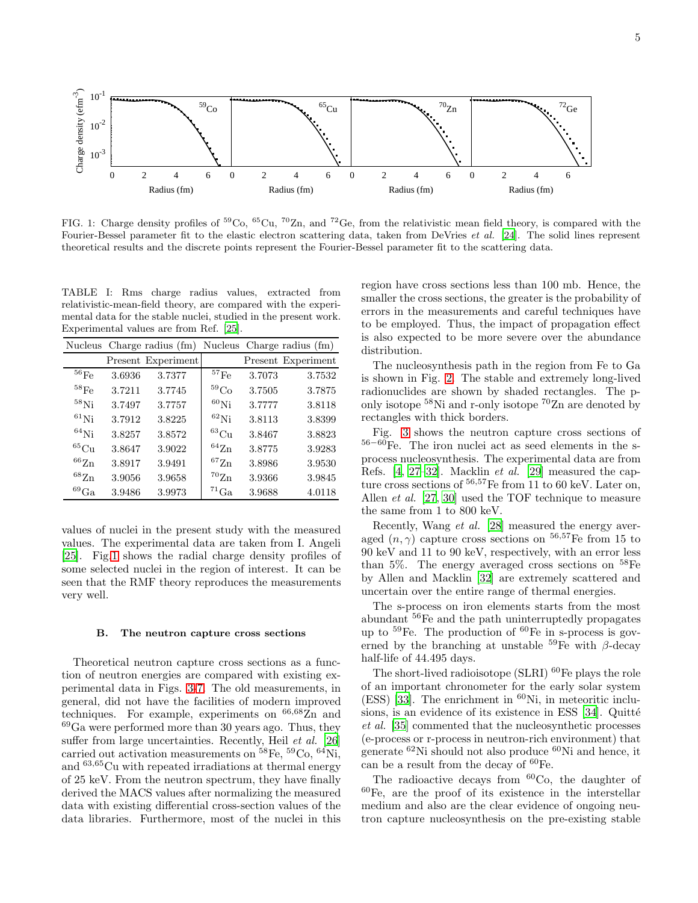

<span id="page-4-1"></span>FIG. 1: Charge density profiles of  ${}^{59}Co$ ,  ${}^{65}Cu$ ,  ${}^{70}Zn$ , and  ${}^{72}Ge$ , from the relativistic mean field theory, is compared with the Fourier-Bessel parameter fit to the elastic electron scattering data, taken from DeVries *et al.* [\[24](#page-9-19)]. The solid lines represent theoretical results and the discrete points represent the Fourier-Bessel parameter fit to the scattering data.

<span id="page-4-0"></span>TABLE I: Rms charge radius values, extracted from relativistic-mean-field theory, are compared with the experimental data for the stable nuclei, studied in the present work. Experimental values are from Ref. [\[25\]](#page-9-20).

|                    |        | Nucleus Charge radius (fm) |                      |        | Nucleus Charge radius (fm) |
|--------------------|--------|----------------------------|----------------------|--------|----------------------------|
|                    |        | Present Experiment         |                      |        | Present Experiment         |
| $^{56}\mathrm{Fe}$ | 3.6936 | 3.7377                     | $^{57}\mathrm{Fe}$   | 3.7073 | 3.7532                     |
| $^{58}\mathrm{Fe}$ | 3.7211 | 3.7745                     | ${}^{59}\mathrm{Co}$ | 3.7505 | 3.7875                     |
| $^{58}$ Ni         | 3.7497 | 3.7757                     | ${}^{60}$ Ni         | 3.7777 | 3.8118                     |
| $^{61}$ Ni         | 3.7912 | 3.8225                     | ${}^{62}\mathrm{Ni}$ | 3.8113 | 3.8399                     |
| $^{64}$ Ni         | 3.8257 | 3.8572                     | $^{63}\mathrm{Cu}$   | 3.8467 | 3.8823                     |
| ${}^{65}Cu$        | 3.8647 | 3.9022                     | $^{64}{\rm Zn}$      | 3.8775 | 3.9283                     |
| $^{66}\mathrm{Zn}$ | 3.8917 | 3.9491                     | $^{67}{\rm Zn}$      | 3.8986 | 3.9530                     |
| $^{68}{\rm Zn}$    | 3.9056 | 3.9658                     | $\rm ^{70}Zn$        | 3.9366 | 3.9845                     |
| ${}^{69}Ga$        | 3.9486 | 3.9973                     | ${}^{71}\mathrm{Ga}$ | 3.9688 | 4.0118                     |

values of nuclei in the present study with the measured values. The experimental data are taken from I. Angeli [\[25\]](#page-9-20). Fig[.1](#page-4-1) shows the radial charge density profiles of some selected nuclei in the region of interest. It can be seen that the RMF theory reproduces the measurements very well.

## B. The neutron capture cross sections

Theoretical neutron capture cross sections as a function of neutron energies are compared with existing experimental data in Figs. [3-](#page-5-0)[7.](#page-7-0) The old measurements, in general, did not have the facilities of modern improved techniques. For example, experiments on  $66,68$ Zn and <sup>69</sup>Ga were performed more than 30 years ago. Thus, they suffer from large uncertainties. Recently, Heil et al. [\[26](#page-9-21)] carried out activation measurements on  $^{58}Fe$ ,  $^{59}Co$ ,  $^{64}Ni$ , and <sup>63</sup>,65Cu with repeated irradiations at thermal energy of 25 keV. From the neutron spectrum, they have finally derived the MACS values after normalizing the measured data with existing differential cross-section values of the data libraries. Furthermore, most of the nuclei in this

region have cross sections less than 100 mb. Hence, the smaller the cross sections, the greater is the probability of errors in the measurements and careful techniques have to be employed. Thus, the impact of propagation effect is also expected to be more severe over the abundance distribution.

The nucleosynthesis path in the region from Fe to Ga is shown in Fig. [2.](#page-5-1) The stable and extremely long-lived radionuclides are shown by shaded rectangles. The ponly isotope <sup>58</sup>Ni and r-only isotope <sup>70</sup>Zn are denoted by rectangles with thick borders.

Fig. [3](#page-5-0) shows the neutron capture cross sections of <sup>56</sup>−<sup>60</sup>Fe. The iron nuclei act as seed elements in the sprocess nucleosynthesis. The experimental data are from Refs. [\[4](#page-9-3), [27](#page-9-22)[–32\]](#page-9-23). Macklin et al. [\[29\]](#page-9-24) measured the capture cross sections of  $56,57$ Fe from 11 to 60 keV. Later on, Allen et al. [\[27,](#page-9-22) [30\]](#page-9-25) used the TOF technique to measure the same from 1 to 800 keV.

Recently, Wang et al. [\[28\]](#page-9-26) measured the energy averaged  $(n, \gamma)$  capture cross sections on <sup>56,57</sup>Fe from 15 to 90 keV and 11 to 90 keV, respectively, with an error less than 5%. The energy averaged cross sections on  $^{58}Fe$ by Allen and Macklin [\[32\]](#page-9-23) are extremely scattered and uncertain over the entire range of thermal energies.

The s-process on iron elements starts from the most abundant <sup>56</sup>Fe and the path uninterruptedly propagates up to  $^{59}$ Fe. The production of  $^{60}$ Fe in s-process is governed by the branching at unstable  ${}^{59}Fe$  with  $\beta$ -decay half-life of 44.495 days.

The short-lived radioisotope  $(SLRI)$  <sup>60</sup>Fe plays the role of an important chronometer for the early solar system  $(ESS)$  [\[33\]](#page-9-27). The enrichment in <sup>60</sup>Ni, in meteoritic inclusions, is an evidence of its existence in ESS  $[34]$ . Quitté et al. [\[35](#page-10-0)] commented that the nucleosynthetic processes (e-process or r-process in neutron-rich environment) that generate <sup>62</sup>Ni should not also produce <sup>60</sup>Ni and hence, it can be a result from the decay of <sup>60</sup>Fe.

The radioactive decays from  ${}^{60}Co$ , the daughter of  ${}^{60}$ Fe, are the proof of its existence in the interstellar medium and also are the clear evidence of ongoing neutron capture nucleosynthesis on the pre-existing stable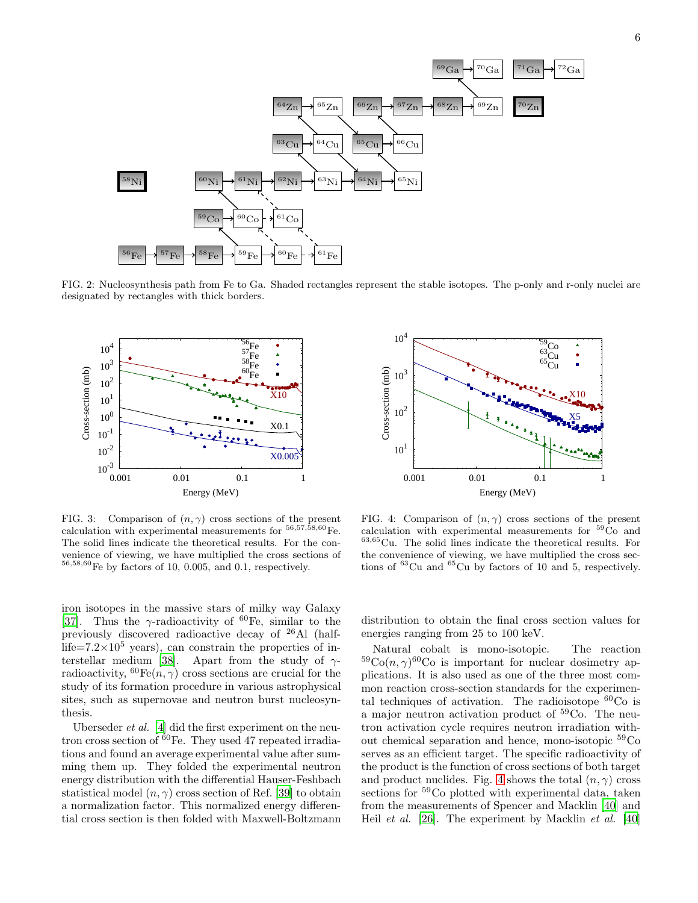

<span id="page-5-1"></span>FIG. 2: Nucleosynthesis path from Fe to Ga. Shaded rectangles represent the stable isotopes. The p-only and r-only nuclei are designated by rectangles with thick borders.



<span id="page-5-0"></span>FIG. 3: Comparison of  $(n, \gamma)$  cross sections of the present calculation with experimental measurements for  ${}^{56,57,\tilde{58},60}\mathrm{Fe}$ . The solid lines indicate the theoretical results. For the convenience of viewing, we have multiplied the cross sections of  $56,58,60$  Fe by factors of 10, 0.005, and 0.1, respectively.

iron isotopes in the massive stars of milky way Galaxy [\[37\]](#page-10-1). Thus the  $\gamma$ -radioactivity of <sup>60</sup>Fe, similar to the previously discovered radioactive decay of <sup>26</sup>Al (halflife= $7.2\times10^5$  years), can constrain the properties of in-terstellar medium [\[38\]](#page-10-2). Apart from the study of  $\gamma$ radioactivity,  ${}^{60}Fe(n,\gamma)$  cross sections are crucial for the study of its formation procedure in various astrophysical sites, such as supernovae and neutron burst nucleosynthesis.

Uberseder et al. [\[4\]](#page-9-3) did the first experiment on the neutron cross section of  $60\text{Fe}$ . They used 47 repeated irradiations and found an average experimental value after summing them up. They folded the experimental neutron energy distribution with the differential Hauser-Feshbach statistical model  $(n, \gamma)$  cross section of Ref. [\[39\]](#page-10-3) to obtain a normalization factor. This normalized energy differential cross section is then folded with Maxwell-Boltzmann



<span id="page-5-2"></span>FIG. 4: Comparison of  $(n, \gamma)$  cross sections of the present calculation with experimental measurements for <sup>59</sup>Co and <sup>63</sup>,<sup>65</sup>Cu. The solid lines indicate the theoretical results. For the convenience of viewing, we have multiplied the cross sections of <sup>63</sup>Cu and <sup>65</sup>Cu by factors of 10 and 5, respectively.

distribution to obtain the final cross section values for energies ranging from 25 to 100 keV.

Natural cobalt is mono-isotopic. The reaction  ${}^{59}Co(n,\gamma){}^{60}Co$  is important for nuclear dosimetry applications. It is also used as one of the three most common reaction cross-section standards for the experimental techniques of activation. The radioisotope  ${}^{60}Co$  is a major neutron activation product of <sup>59</sup>Co. The neutron activation cycle requires neutron irradiation without chemical separation and hence, mono-isotopic <sup>59</sup>Co serves as an efficient target. The specific radioactivity of the product is the function of cross sections of both target and product nuclides. Fig. [4](#page-5-2) shows the total  $(n, \gamma)$  cross sections for <sup>59</sup>Co plotted with experimental data, taken from the measurements of Spencer and Macklin [\[40](#page-10-4)] and Heil *et al.* [\[26\]](#page-9-21). The experiment by Macklin *et al.* [\[40](#page-10-4)]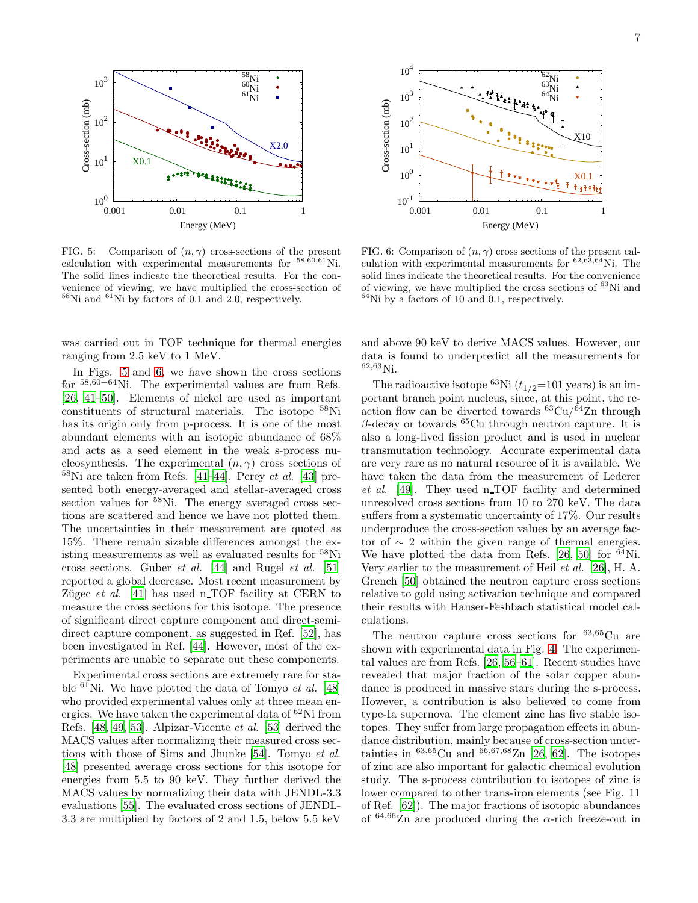

<span id="page-6-0"></span>FIG. 5: Comparison of  $(n, \gamma)$  cross-sections of the present calculation with experimental measurements for  ${}^{58,60,61}$ Ni. The solid lines indicate the theoretical results. For the convenience of viewing, we have multiplied the cross-section of  $58$ Ni and  $61$ Ni by factors of 0.1 and 2.0, respectively.

was carried out in TOF technique for thermal energies ranging from 2.5 keV to 1 MeV.

In Figs. [5](#page-6-0) and [6,](#page-6-1) we have shown the cross sections for <sup>58</sup>,60−<sup>64</sup>Ni. The experimental values are from Refs. [\[26,](#page-9-21) [41](#page-10-5)[–50](#page-10-6)]. Elements of nickel are used as important constituents of structural materials. The isotope <sup>58</sup>Ni has its origin only from p-process. It is one of the most abundant elements with an isotopic abundance of 68% and acts as a seed element in the weak s-process nucleosynthesis. The experimental  $(n, \gamma)$  cross sections of  $58\text{Ni}$  are taken from Refs. [\[41](#page-10-5)[–44\]](#page-10-7). Perey et al. [\[43\]](#page-10-8) presented both energy-averaged and stellar-averaged cross section values for  $58$ Ni. The energy averaged cross sections are scattered and hence we have not plotted them. The uncertainties in their measurement are quoted as 15%. There remain sizable differences amongst the existing measurements as well as evaluated results for <sup>58</sup>Ni cross sections. Guber et al. [\[44](#page-10-7)] and Rugel et al. [\[51](#page-10-9)] reported a global decrease. Most recent measurement by Zugec et al.  $[41]$  $[41]$  has used n TOF facility at CERN to measure the cross sections for this isotope. The presence of significant direct capture component and direct-semidirect capture component, as suggested in Ref. [\[52\]](#page-10-10), has been investigated in Ref. [\[44\]](#page-10-7). However, most of the experiments are unable to separate out these components.

Experimental cross sections are extremely rare for stable  ${}^{61}$ Ni. We have plotted the data of Tomyo *et al.* [\[48](#page-10-11)] who provided experimental values only at three mean energies. We have taken the experimental data of  ${}^{62}$ Ni from Refs. [\[48,](#page-10-11) [49,](#page-10-12) [53\]](#page-10-13). Alpizar-Vicente et al. [\[53\]](#page-10-13) derived the MACS values after normalizing their measured cross sections with those of Sims and Jhunke [\[54\]](#page-10-14). Tomyo et al. [\[48\]](#page-10-11) presented average cross sections for this isotope for energies from 5.5 to 90 keV. They further derived the MACS values by normalizing their data with JENDL-3.3 evaluations [\[55\]](#page-10-15). The evaluated cross sections of JENDL-3.3 are multiplied by factors of 2 and 1.5, below 5.5 keV



<span id="page-6-1"></span>FIG. 6: Comparison of  $(n, \gamma)$  cross sections of the present calculation with experimental measurements for  ${}^{62,63,64}$ Ni. The solid lines indicate the theoretical results. For the convenience of viewing, we have multiplied the cross sections of <sup>63</sup>Ni and  $64$ Ni by a factors of 10 and 0.1, respectively.

and above 90 keV to derive MACS values. However, our data is found to underpredict all the measurements for <sup>62</sup>,<sup>63</sup>Ni.

The radioactive isotope  ${}^{63}\text{Ni}$  ( $t_{1/2}$ =101 years) is an important branch point nucleus, since, at this point, the reaction flow can be diverted towards  ${}^{63}Cu/{}^{64}Zn$  through β-decay or towards  ${}^{65}$ Cu through neutron capture. It is also a long-lived fission product and is used in nuclear transmutation technology. Accurate experimental data are very rare as no natural resource of it is available. We have taken the data from the measurement of Lederer et al. [\[49](#page-10-12)]. They used n TOF facility and determined unresolved cross sections from 10 to 270 keV. The data suffers from a systematic uncertainty of 17%. Our results underproduce the cross-section values by an average factor of  $\sim$  2 within the given range of thermal energies. We have plotted the data from Refs. [\[26](#page-9-21), [50](#page-10-6)] for  $^{64}$ Ni. Very earlier to the measurement of Heil et al. [\[26](#page-9-21)], H. A. Grench [\[50\]](#page-10-6) obtained the neutron capture cross sections relative to gold using activation technique and compared their results with Hauser-Feshbach statistical model calculations.

The neutron capture cross sections for  $63,65$ Cu are shown with experimental data in Fig. [4.](#page-5-2) The experimental values are from Refs. [\[26,](#page-9-21) [56](#page-10-16)[–61\]](#page-10-17). Recent studies have revealed that major fraction of the solar copper abundance is produced in massive stars during the s-process. However, a contribution is also believed to come from type-Ia supernova. The element zinc has five stable isotopes. They suffer from large propagation effects in abundance distribution, mainly because of cross-section uncertainties in  $^{63,65}$ Cu and  $^{66,67,68}$ Zn [\[26,](#page-9-21) [62\]](#page-10-18). The isotopes of zinc are also important for galactic chemical evolution study. The s-process contribution to isotopes of zinc is lower compared to other trans-iron elements (see Fig. 11 of Ref. [\[62\]](#page-10-18)). The major fractions of isotopic abundances of  $64,66\overline{Z}n$  are produced during the  $\alpha$ -rich freeze-out in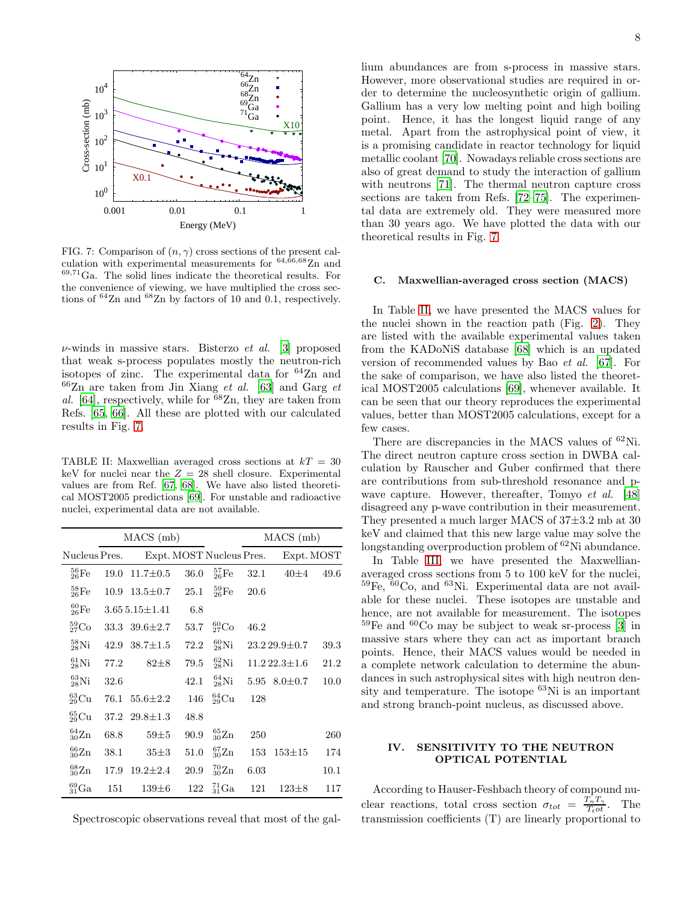

<span id="page-7-0"></span>FIG. 7: Comparison of  $(n, \gamma)$  cross sections of the present calculation with experimental measurements for  $64,66,68$ Zn and <sup>69</sup>,<sup>71</sup>Ga. The solid lines indicate the theoretical results. For the convenience of viewing, we have multiplied the cross sections of <sup>64</sup>Zn and <sup>68</sup>Zn by factors of 10 and 0.1, respectively.

 $\nu$ -winds in massive stars. Bisterzo *et al.* [\[3\]](#page-9-2) proposed that weak s-process populates mostly the neutron-rich isotopes of zinc. The experimental data for  $64$ Zn and  $66Zn$  are taken from Jin Xiang *et al.* [\[63](#page-10-19)] and Garg *et* al. [\[64\]](#page-10-20), respectively, while for  ${}^{68}Zn$ , they are taken from Refs. [\[65,](#page-10-21) [66\]](#page-10-22). All these are plotted with our calculated results in Fig. [7.](#page-7-0)

<span id="page-7-1"></span>TABLE II: Maxwellian averaged cross sections at  $kT = 30$ keV for nuclei near the  $Z = 28$  shell closure. Experimental values are from Ref. [\[67](#page-10-23), [68](#page-10-24)]. We have also listed theoretical MOST2005 predictions [\[69](#page-10-25)]. For unstable and radioactive nuclei, experimental data are not available.

|                     |      | $MACS$ (mb)         |                          |                         | $MACS$ (mb) |                      |            |  |  |
|---------------------|------|---------------------|--------------------------|-------------------------|-------------|----------------------|------------|--|--|
| Nucleus Pres.       |      |                     | Expt. MOST Nucleus Pres. |                         |             |                      | Expt. MOST |  |  |
| $^{56}_{26}Fe$      | 19.0 | $11.7 \pm 0.5$      | 36.0                     | $^{57}_{26}Fe$          | 32.1        | $40\pm4$             | 49.6       |  |  |
| $^{58}_{26}Fe$      | 10.9 | $13.5 \pm 0.7$      | 25.1                     | $^{59}_{26}Fe$          | 20.6        |                      |            |  |  |
| $^{60}_{26}$ Fe     |      | $3.655.15 \pm 1.41$ | 6.8                      |                         |             |                      |            |  |  |
| ${}^{59}_{27}Co$    |      | 33.3 $39.6 \pm 2.7$ | 53.7                     | ${}^{60}_{27}Co$        | 46.2        |                      |            |  |  |
| $^{58}_{28}\rm{Ni}$ | 42.9 | $38.7 \pm 1.5$      | 72.2                     | $^{60}_{28}\rm{Ni}$     |             | $23.229.9 \pm 0.7$   | 39.3       |  |  |
| $^{61}_{28}$ Ni     | 77.2 | $82 + 8$            | 79.5                     | $^{62}_{28}\mathrm{Ni}$ |             | $11.2\,22.3{\pm}1.6$ | 21.2       |  |  |
| ${}^{63}_{28}$ Ni   | 32.6 |                     | 42.1                     | $^{64}_{28}\mathrm{Ni}$ |             | 5.95 $8.0 \pm 0.7$   | 10.0       |  |  |
| $^{63}_{29}$ Cu     | 76.1 | $55.6 \pm 2.2$      | 146                      | $^{64}_{29}$ Cu         | 128         |                      |            |  |  |
| ${}^{65}_{29}Cu$    | 37.2 | $29.8 \pm 1.3$      | 48.8                     |                         |             |                      |            |  |  |
| $^{64}_{30}Zn$      | 68.8 | $59\pm5$            | 90.9                     | ${}^{65}_{30}Zn$        | 250         |                      | 260        |  |  |
| ${}^{66}_{30}Zn$    | 38.1 | $35 + 3$            | 51.0                     | ${}^{67}_{30}Zn$        | 153         | $153 + 15$           | 174        |  |  |
| ${}^{68}_{30}Zn$    | 17.9 | $19.2 \pm 2.4$      | 20.9                     | ${}^{70}_{30}Zn$        | 6.03        |                      | 10.1       |  |  |
| ${}^{69}_{31}Ga$    | 151  | $139 \pm 6$         | 122                      | ${}^{71}_{31}Ga$        | 121         | $123\pm8$            | 117        |  |  |

Spectroscopic observations reveal that most of the gal-

lium abundances are from s-process in massive stars. However, more observational studies are required in order to determine the nucleosynthetic origin of gallium. Gallium has a very low melting point and high boiling point. Hence, it has the longest liquid range of any metal. Apart from the astrophysical point of view, it is a promising candidate in reactor technology for liquid metallic coolant [\[70](#page-10-26)]. Nowadays reliable cross sections are also of great demand to study the interaction of gallium with neutrons [\[71](#page-10-27)]. The thermal neutron capture cross sections are taken from Refs. [\[72](#page-10-28)[–75](#page-10-29)]. The experimental data are extremely old. They were measured more than 30 years ago. We have plotted the data with our theoretical results in Fig. [7.](#page-7-0)

## C. Maxwellian-averaged cross section (MACS)

In Table [II,](#page-7-1) we have presented the MACS values for the nuclei shown in the reaction path (Fig. [2\)](#page-5-1). They are listed with the available experimental values taken from the KADoNiS database [\[68\]](#page-10-24) which is an updated version of recommended values by Bao et al. [\[67\]](#page-10-23). For the sake of comparison, we have also listed the theoretical MOST2005 calculations [\[69\]](#page-10-25), whenever available. It can be seen that our theory reproduces the experimental values, better than MOST2005 calculations, except for a few cases.

There are discrepancies in the MACS values of <sup>62</sup>Ni. The direct neutron capture cross section in DWBA calculation by Rauscher and Guber confirmed that there are contributions from sub-threshold resonance and p-wave capture. However, thereafter, Tomyo et al. [\[48](#page-10-11)] disagreed any p-wave contribution in their measurement. They presented a much larger MACS of 37±3.2 mb at 30 keV and claimed that this new large value may solve the longstanding overproduction problem of <sup>62</sup>Ni abundance.

In Table [III,](#page-8-0) we have presented the Maxwellianaveraged cross sections from 5 to 100 keV for the nuclei,  $^{59}Fe$ ,  $^{60}Co$ , and  $^{63}Ni$ . Experimental data are not available for these nuclei. These isotopes are unstable and hence, are not available for measurement. The isotopes  $59\text{Fe}$  and  $60\text{Co}$  may be subject to weak sr-process [\[3](#page-9-2)] in massive stars where they can act as important branch points. Hence, their MACS values would be needed in a complete network calculation to determine the abundances in such astrophysical sites with high neutron density and temperature. The isotope <sup>63</sup>Ni is an important and strong branch-point nucleus, as discussed above.

## IV. SENSITIVITY TO THE NEUTRON OPTICAL POTENTIAL

According to Hauser-Feshbach theory of compound nuclear reactions, total cross section  $\sigma_{tot} = \frac{T_n T_\gamma}{T_t \sigma t}$ . The transmission coefficients (T) are linearly proportional to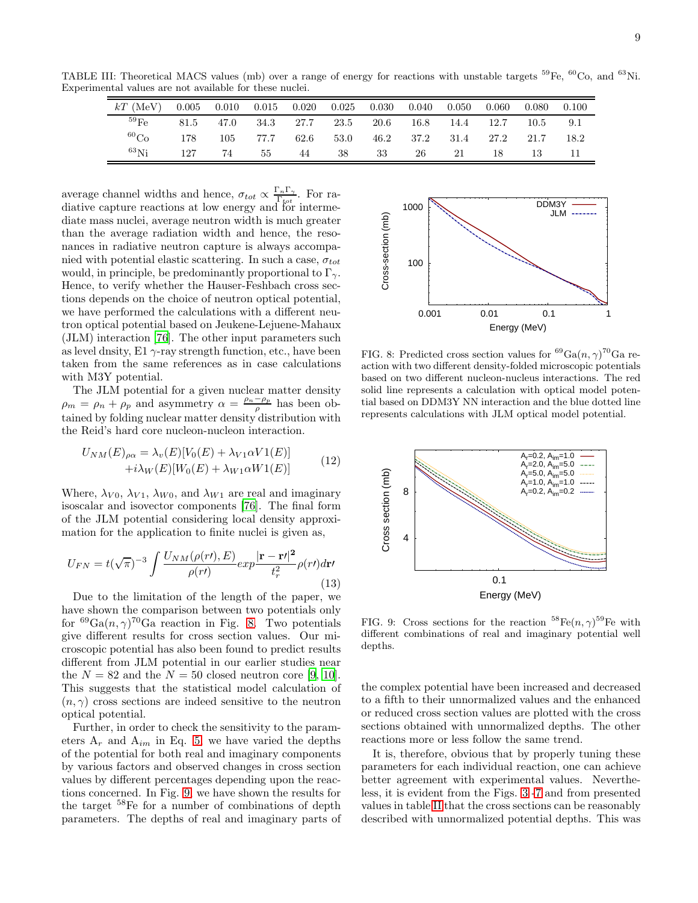TABLE III: Theoretical MACS values (mb) over a range of energy for reactions with unstable targets <sup>59</sup>Fe, <sup>60</sup>Co, and <sup>63</sup>Ni. Experimental values are not available for these nuclei. ÷.

<span id="page-8-0"></span>

| $kT$ (MeV)         | 0.005 | 0.010 | $0.015\,$      | $0.020\,$ | $0.025\,$ | $0.030\,$            | $0.040\,$ | 0.050 | 0.060               | 0.080 | 0.100 |
|--------------------|-------|-------|----------------|-----------|-----------|----------------------|-----------|-------|---------------------|-------|-------|
| $^{59}\mathrm{Fe}$ | 81.5  | 47.0  | 34.3 27.7 23.5 |           |           | $\cdot$ 20.6 $\cdot$ | 16.8      | 14.4  | 12.7                | 10.5  | 9.1   |
| ${}^{60}Co$        | 178   | 105   | 77.7           |           | 62.6 53.0 |                      |           |       | 46.2 37.2 31.4 27.2 | 21.7  | 18.2  |
| $^{63}$ Ni         | 127   | 74    | 55             | 44        | 38        | 33                   | 26 —      | 21    | 18                  | 13    |       |

average channel widths and hence,  $\sigma_{tot} \propto \frac{\Gamma_n \Gamma_\gamma}{\Gamma_{tot}}$  $\frac{n \cdot \gamma}{\Gamma_{tot}}$ . For radiative capture reactions at low energy and for intermediate mass nuclei, average neutron width is much greater than the average radiation width and hence, the resonances in radiative neutron capture is always accompanied with potential elastic scattering. In such a case,  $\sigma_{tot}$ would, in principle, be predominantly proportional to  $\Gamma_{\gamma}$ . Hence, to verify whether the Hauser-Feshbach cross sections depends on the choice of neutron optical potential, we have performed the calculations with a different neutron optical potential based on Jeukene-Lejuene-Mahaux (JLM) interaction [\[76](#page-10-30)]. The other input parameters such as level dnsity,  $E1 \gamma$ -ray strength function, etc., have been taken from the same references as in case calculations with M3Y potential.

The JLM potential for a given nuclear matter density  $\rho_m = \rho_n + \rho_p$  and asymmetry  $\alpha = \frac{\rho_n - \rho_p}{\rho_p}$  $\frac{-\rho_p}{\rho}$  has been obtained by folding nuclear matter density distribution with the Reid's hard core nucleon-nucleon interaction.

$$
U_{NM}(E)_{\rho\alpha} = \lambda_v(E)[V_0(E) + \lambda_{V1}\alpha V1(E)]
$$
  
 
$$
+i\lambda_W(E)[W_0(E) + \lambda_{W1}\alpha W1(E)]
$$
 (12)

Where,  $\lambda_{V0}$ ,  $\lambda_{V1}$ ,  $\lambda_{W0}$ , and  $\lambda_{W1}$  are real and imaginary isoscalar and isovector components [\[76](#page-10-30)]. The final form of the JLM potential considering local density approximation for the application to finite nuclei is given as,

$$
U_{FN} = t(\sqrt{\pi})^{-3} \int \frac{U_{NM}(\rho(r\prime), E)}{\rho(r\prime)} exp\frac{|\mathbf{r} - \mathbf{r\prime}|^2}{t_r^2} \rho(r\prime) d\mathbf{r\prime}
$$
\n(13)

Due to the limitation of the length of the paper, we have shown the comparison between two potentials only for <sup>69</sup>Ga $(n, \gamma)$ <sup>70</sup>Ga reaction in Fig. [8.](#page-8-1) Two potentials give different results for cross section values. Our microscopic potential has also been found to predict results different from JLM potential in our earlier studies near the  $N = 82$  and the  $N = 50$  closed neutron core [\[9](#page-9-11), [10\]](#page-9-18). This suggests that the statistical model calculation of  $(n, \gamma)$  cross sections are indeed sensitive to the neutron optical potential.

Further, in order to check the sensitivity to the parameters  $A_r$  and  $A_{im}$  in Eq. [5,](#page-2-0) we have varied the depths of the potential for both real and imaginary components by various factors and observed changes in cross section values by different percentages depending upon the reactions concerned. In Fig. [9,](#page-8-2) we have shown the results for the target <sup>58</sup>Fe for a number of combinations of depth parameters. The depths of real and imaginary parts of



<span id="page-8-1"></span>FIG. 8: Predicted cross section values for  ${}^{69}Ga(n, \gamma)^{70}Ga$  reaction with two different density-folded microscopic potentials based on two different nucleon-nucleus interactions. The red solid line represents a calculation with optical model potential based on DDM3Y NN interaction and the blue dotted line represents calculations with JLM optical model potential.



<span id="page-8-2"></span>FIG. 9: Cross sections for the reaction  ${}^{58}Fe(n,\gamma){}^{59}Fe$  with different combinations of real and imaginary potential well depths.

the complex potential have been increased and decreased to a fifth to their unnormalized values and the enhanced or reduced cross section values are plotted with the cross sections obtained with unnormalized depths. The other reactions more or less follow the same trend.

It is, therefore, obvious that by properly tuning these parameters for each individual reaction, one can achieve better agreement with experimental values. Nevertheless, it is evident from the Figs. [3](#page-5-0) [-7](#page-7-0) and from presented values in table [II](#page-7-1) that the cross sections can be reasonably described with unnormalized potential depths. This was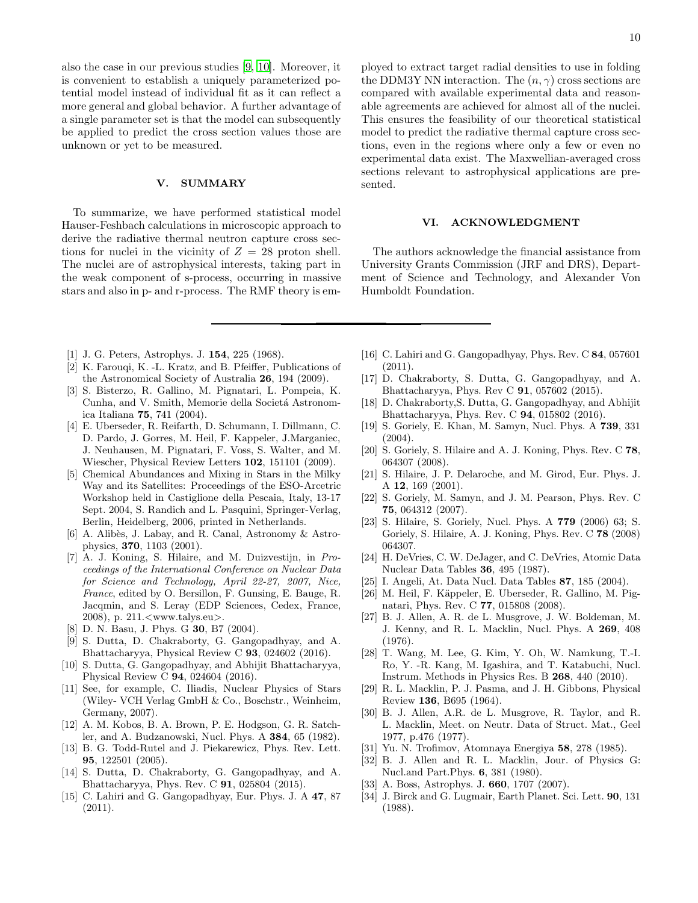also the case in our previous studies [\[9](#page-9-11), [10](#page-9-18)]. Moreover, it is convenient to establish a uniquely parameterized potential model instead of individual fit as it can reflect a more general and global behavior. A further advantage of a single parameter set is that the model can subsequently be applied to predict the cross section values those are unknown or yet to be measured.

## V. SUMMARY

To summarize, we have performed statistical model Hauser-Feshbach calculations in microscopic approach to derive the radiative thermal neutron capture cross sections for nuclei in the vicinity of  $Z = 28$  proton shell. The nuclei are of astrophysical interests, taking part in the weak component of s-process, occurring in massive stars and also in p- and r-process. The RMF theory is em-

ployed to extract target radial densities to use in folding the DDM3Y NN interaction. The  $(n, \gamma)$  cross sections are compared with available experimental data and reasonable agreements are achieved for almost all of the nuclei. This ensures the feasibility of our theoretical statistical model to predict the radiative thermal capture cross sections, even in the regions where only a few or even no experimental data exist. The Maxwellian-averaged cross sections relevant to astrophysical applications are presented.

#### VI. ACKNOWLEDGMENT

The authors acknowledge the financial assistance from University Grants Commission (JRF and DRS), Department of Science and Technology, and Alexander Von Humboldt Foundation.

- <span id="page-9-0"></span>[1] J. G. Peters, Astrophys. J. 154, 225 (1968).
- <span id="page-9-1"></span>[2] K. Farouqi, K. -L. Kratz, and B. Pfeiffer, Publications of the Astronomical Society of Australia 26, 194 (2009).
- <span id="page-9-2"></span>[3] S. Bisterzo, R. Gallino, M. Pignatari, L. Pompeia, K. Cunha, and V. Smith, Memorie della Societá Astronomica Italiana 75, 741 (2004).
- <span id="page-9-3"></span>[4] E. Uberseder, R. Reifarth, D. Schumann, I. Dillmann, C. D. Pardo, J. Gorres, M. Heil, F. Kappeler, J.Marganiec, J. Neuhausen, M. Pignatari, F. Voss, S. Walter, and M. Wiescher, Physical Review Letters 102, 151101 (2009).
- <span id="page-9-4"></span>[5] Chemical Abundances and Mixing in Stars in the Milky Way and its Satellites: Proceedings of the ESO-Arcetric Workshop held in Castiglione della Pescaia, Italy, 13-17 Sept. 2004, S. Randich and L. Pasquini, Springer-Verlag, Berlin, Heidelberg, 2006, printed in Netherlands.
- <span id="page-9-5"></span>[6] A. Alibès, J. Labay, and R. Canal, Astronomy & Astrophysics, 370, 1103 (2001).
- <span id="page-9-6"></span>[7] A. J. Koning, S. Hilaire, and M. Duizvestijn, in Proceedings of the International Conference on Nuclear Data for Science and Technology, April 22-27, 2007, Nice, France, edited by O. Bersillon, F. Gunsing, E. Bauge, R. Jacqmin, and S. Leray (EDP Sciences, Cedex, France, 2008), p. 211.<www.talys.eu>.
- [8] D. N. Basu, J. Phys. G **30**, B7 (2004).
- <span id="page-9-11"></span>[9] S. Dutta, D. Chakraborty, G. Gangopadhyay, and A. Bhattacharyya, Physical Review C 93, 024602 (2016).
- <span id="page-9-18"></span>[10] S. Dutta, G. Gangopadhyay, and Abhijit Bhattacharyya, Physical Review C 94, 024604 (2016).
- <span id="page-9-7"></span>[11] See, for example, C. Iliadis, Nuclear Physics of Stars (Wiley- VCH Verlag GmbH & Co., Boschstr., Weinheim, Germany, 2007).
- <span id="page-9-8"></span>[12] A. M. Kobos, B. A. Brown, P. E. Hodgson, G. R. Satchler, and A. Budzanowski, Nucl. Phys. A 384, 65 (1982).
- <span id="page-9-12"></span>[13] B. G. Todd-Rutel and J. Piekarewicz, Phys. Rev. Lett. 95, 122501 (2005).
- <span id="page-9-9"></span>[14] S. Dutta, D. Chakraborty, G. Gangopadhyay, and A. Bhattacharyya, Phys. Rev. C 91, 025804 (2015).
- [15] C. Lahiri and G. Gangopadhyay, Eur. Phys. J. A 47, 87 (2011).
- [16] C. Lahiri and G. Gangopadhyay, Phys. Rev. C 84, 057601  $(2011).$
- [17] D. Chakraborty, S. Dutta, G. Gangopadhyay, and A. Bhattacharyya, Phys. Rev C 91, 057602 (2015).
- <span id="page-9-10"></span>[18] D. Chakraborty,S. Dutta, G. Gangopadhyay, and Abhijit Bhattacharyya, Phys. Rev. C 94, 015802 (2016).
- <span id="page-9-13"></span>[19] S. Goriely, E. Khan, M. Samyn, Nucl. Phys. A 739, 331 (2004).
- <span id="page-9-14"></span>[20] S. Goriely, S. Hilaire and A. J. Koning, Phys. Rev. C 78, 064307 (2008).
- <span id="page-9-15"></span>[21] S. Hilaire, J. P. Delaroche, and M. Girod, Eur. Phys. J. A 12, 169 (2001).
- <span id="page-9-16"></span>[22] S. Goriely, M. Samyn, and J. M. Pearson, Phys. Rev. C 75, 064312 (2007).
- <span id="page-9-17"></span>[23] S. Hilaire, S. Goriely, Nucl. Phys. A 779 (2006) 63; S. Goriely, S. Hilaire, A. J. Koning, Phys. Rev. C 78 (2008) 064307.
- <span id="page-9-19"></span>[24] H. DeVries, C. W. DeJager, and C. DeVries, Atomic Data Nuclear Data Tables 36, 495 (1987).
- <span id="page-9-20"></span>[25] I. Angeli, At. Data Nucl. Data Tables 87, 185 (2004).
- <span id="page-9-21"></span>[26] M. Heil, F. Käppeler, E. Uberseder, R. Gallino, M. Pignatari, Phys. Rev. C 77, 015808 (2008).
- <span id="page-9-22"></span>[27] B. J. Allen, A. R. de L. Musgrove, J. W. Boldeman, M. J. Kenny, and R. L. Macklin, Nucl. Phys. A 269, 408 (1976).
- <span id="page-9-26"></span>[28] T. Wang, M. Lee, G. Kim, Y. Oh, W. Namkung, T.-I. Ro, Y. -R. Kang, M. Igashira, and T. Katabuchi, Nucl. Instrum. Methods in Physics Res. B 268, 440 (2010).
- <span id="page-9-24"></span>[29] R. L. Macklin, P. J. Pasma, and J. H. Gibbons, Physical Review 136, B695 (1964).
- <span id="page-9-25"></span>[30] B. J. Allen, A.R. de L. Musgrove, R. Taylor, and R. L. Macklin, Meet. on Neutr. Data of Struct. Mat., Geel 1977, p.476 (1977).
- [31] Yu. N. Trofimov, Atomnaya Energiya 58, 278 (1985).
- <span id="page-9-23"></span>[32] B. J. Allen and R. L. Macklin, Jour. of Physics G: Nucl.and Part.Phys. 6, 381 (1980).
- <span id="page-9-27"></span>[33] A. Boss, Astrophys. J. 660, 1707 (2007).
- <span id="page-9-28"></span>[34] J. Birck and G. Lugmair, Earth Planet. Sci. Lett. **90**, 131 (1988).